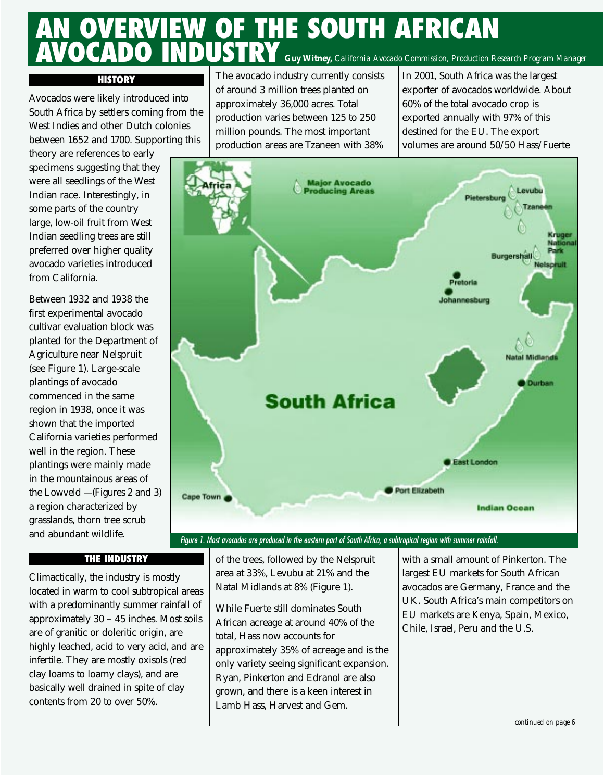# **AN OVERVIEW OF THE SOUTH AFRICAN AVOCADO INDUSTRY** *Guy Witney, California Avocado Commission, Production Research Program Manager*

#### **HISTORY**

Avocados were likely introduced into South Africa by settlers coming from the West Indies and other Dutch colonies between 1652 and 1700. Supporting this

theory are references to early specimens suggesting that they were all seedlings of the West Indian race. Interestingly, in some parts of the country large, low-oil fruit from West Indian seedling trees are still preferred over higher quality avocado varieties introduced from California.

Between 1932 and 1938 the first experimental avocado cultivar evaluation block was planted for the Department of Agriculture near Nelspruit (see Figure 1). Large-scale plantings of avocado commenced in the same region in 1938, once it was shown that the imported California varieties performed well in the region. These plantings were mainly made in the mountainous areas of the Lowveld — (Figures 2 and 3) a region characterized by grasslands, thorn tree scrub and abundant wildlife.

The avocado industry currently consists of around 3 million trees planted on approximately 36,000 acres. Total production varies between 125 to 250 million pounds. The most important production areas are Tzaneen with 38% In 2001, South Africa was the largest exporter of avocados worldwide. About 60% of the total avocado crop is exported annually with 97% of this destined for the EU. The export volumes are around 50/50 Hass/Fuerte



### *Figure 1. Most avocados are produced in the eastern part of South Africa, a subtropical region with summer rainfall.*

#### **THE INDUSTRY**

Climactically, the industry is mostly located in warm to cool subtropical areas with a predominantly summer rainfall of approximately 30 – 45 inches. Most soils are of granitic or doleritic origin, are highly leached, acid to very acid, and are infertile. They are mostly oxisols (red clay loams to loamy clays), and are basically well drained in spite of clay contents from 20 to over 50%.

of the trees, followed by the Nelspruit area at 33%, Levubu at 21% and the Natal Midlands at 8% (Figure 1).

While Fuerte still dominates South African acreage at around 40% of the total, Hass now accounts for approximately 35% of acreage and is the only variety seeing significant expansion. Ryan, Pinkerton and Edranol are also grown, and there is a keen interest in Lamb Hass, Harvest and Gem.

with a small amount of Pinkerton. The largest EU markets for South African avocados are Germany, France and the UK. South Africa's main competitors on EU markets are Kenya, Spain, Mexico, Chile, Israel, Peru and the U.S.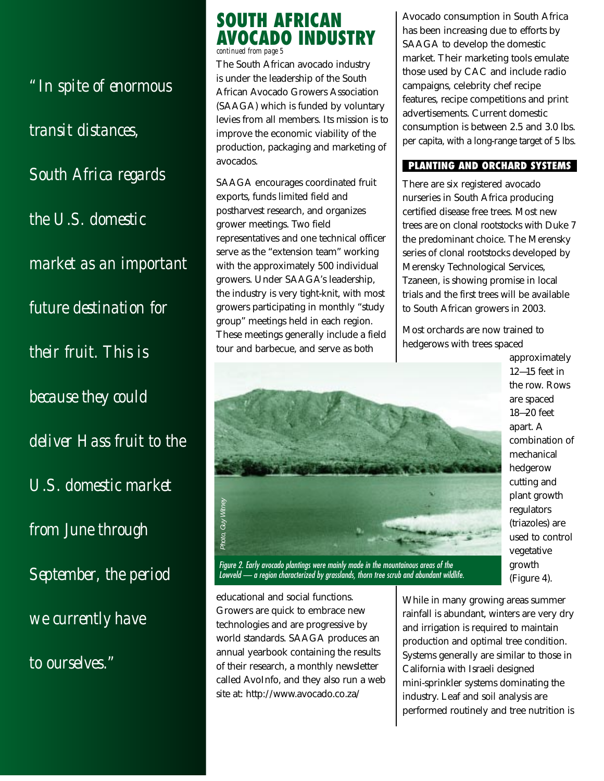*"In spite of enormous transit distances, South Africa regards the U.S. domestic market as an important future destination for their fruit. This is because they could deliver Hass fruit to the U.S. domestic market from June through September, the period we currently have to ourselves."*

### **SOUTH AFRICAN AVOCADO INDUSTRY** *continued from page 5*

The South African avocado industry is under the leadership of the South African Avocado Growers Association (SAAGA) which is funded by voluntary levies from all members. Its mission is to improve the economic viability of the production, packaging and marketing of avocados.

SAAGA encourages coordinated fruit exports, funds limited field and postharvest research, and organizes grower meetings. Two field representatives and one technical officer serve as the "extension team" working with the approximately 500 individual growers. Under SAAGA's leadership, the industry is very tight-knit, with most growers participating in monthly "study group" meetings held in each region. These meetings generally include a field tour and barbecue, and serve as both



*Figure 2. Early avocado plantings were mainly made in the mountainous areas of the*

educational and social functions. Growers are quick to embrace new technologies and are progressive by world standards. SAAGA produces an annual yearbook containing the results of their research, a monthly newsletter called AvoInfo, and they also run a web site at: http://www.avocado.co.za/

Avocado consumption in South Africa has been increasing due to efforts by SAAGA to develop the domestic market. Their marketing tools emulate those used by CAC and include radio campaigns, celebrity chef recipe features, recipe competitions and print advertisements. Current domestic consumption is between 2.5 and 3.0 lbs. per capita, with a long-range target of 5 lbs.

#### **PLANTING AND ORCHARD SYSTEMS**

There are six registered avocado nurseries in South Africa producing certified disease free trees. Most new trees are on clonal rootstocks with Duke 7 the predominant choice. The Merensky series of clonal rootstocks developed by Merensky Technological Services, Tzaneen, is showing promise in local trials and the first trees will be available to South African growers in 2003.

Most orchards are now trained to hedgerows with trees spaced

> approximately 12—15 feet in the row. Rows are spaced 18—20 feet apart. A combination of mechanical hedgerow cutting and plant growth regulators (triazoles) are used to control vegetative growth (Figure 4).

While in many growing areas summer rainfall is abundant, winters are very dry and irrigation is required to maintain production and optimal tree condition. Systems generally are similar to those in California with Israeli designed mini-sprinkler systems dominating the industry. Leaf and soil analysis are performed routinely and tree nutrition is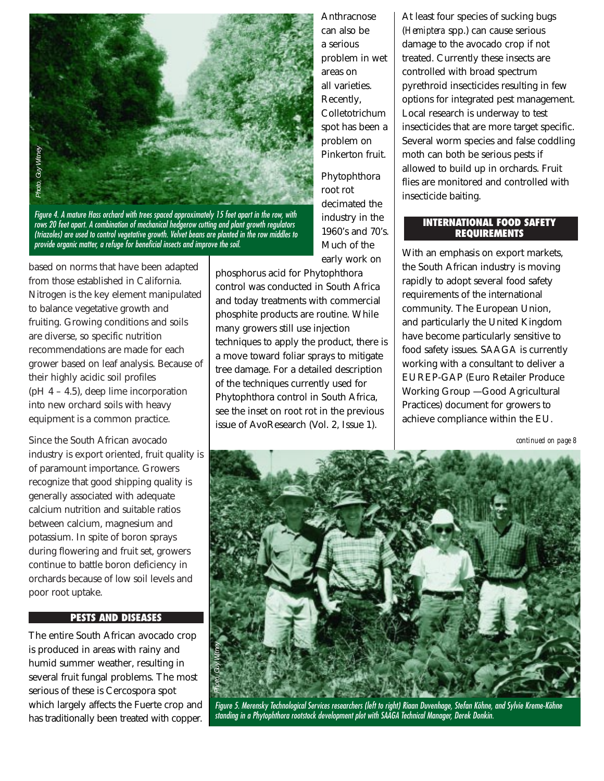

*Figure 4. A mature Hass orchard with trees spaced approximately 15 feet apart in the row, with rows 20 feet apart. A combination of mechanical hedgerow cutting and plant growth regulators (triazoles) are used to control vegetative growth. Velvet beans are planted in the row middles to provide organic matter, a refuge for beneficial insects and improve the soil.*

based on norms that have been adapted from those established in California. Nitrogen is the key element manipulated to balance vegetative growth and fruiting. Growing conditions and soils are diverse, so specific nutrition recommendations are made for each grower based on leaf analysis. Because of their highly acidic soil profiles (pH  $4 - 4.5$ ), deep lime incorporation into new orchard soils with heavy equipment is a common practice.

Since the South African avocado industry is export oriented, fruit quality is of paramount importance. Growers recognize that good shipping quality is generally associated with adequate calcium nutrition and suitable ratios between calcium, magnesium and potassium. In spite of boron sprays during flowering and fruit set, growers continue to battle boron deficiency in orchards because of low soil levels and poor root uptake.

#### **PESTS AND DISEASES**

The entire South African avocado crop is produced in areas with rainy and humid summer weather, resulting in several fruit fungal problems. The most serious of these is Cercospora spot which largely affects the Fuerte crop and has traditionally been treated with copper.

Anthracnose can also be a serious problem in wet areas on all varieties. Recently, Colletotrichum spot has been a problem on Pinkerton fruit.

Phytophthora root rot decimated the industry in the 1960's and 70's. Much of the early work on

phosphorus acid for Phytophthora control was conducted in South Africa and today treatments with commercial phosphite products are routine. While many growers still use injection techniques to apply the product, there is a move toward foliar sprays to mitigate tree damage. For a detailed description of the techniques currently used for Phytophthora control in South Africa, see the inset on root rot in the previous issue of AvoResearch (Vol. 2, Issue 1).

At least four species of sucking bugs (*Hemiptera* spp.) can cause serious damage to the avocado crop if not treated. Currently these insects are controlled with broad spectrum pyrethroid insecticides resulting in few options for integrated pest management. Local research is underway to test insecticides that are more target specific. Several worm species and false coddling moth can both be serious pests if allowed to build up in orchards. Fruit flies are monitored and controlled with insecticide baiting.

#### **INTERNATIONAL FOOD SAFETY REQUIREMENTS**

With an emphasis on export markets, the South African industry is moving rapidly to adopt several food safety requirements of the international community. The European Union, and particularly the United Kingdom have become particularly sensitive to food safety issues. SAAGA is currently working with a consultant to deliver a EUREP-GAP (Euro Retailer Produce Working Group — Good Agricultural Practices) document for growers to achieve compliance within the EU.

*continued on page 8*



*Figure 5. Merensky Technological Services researchers (left to right) Riaan Duvenhage, Stefan Köhne, and Sylvie Kreme-Köhne standing in a Phytophthora rootstock development plot with SAAGA Technical Manager, Derek Donkin.*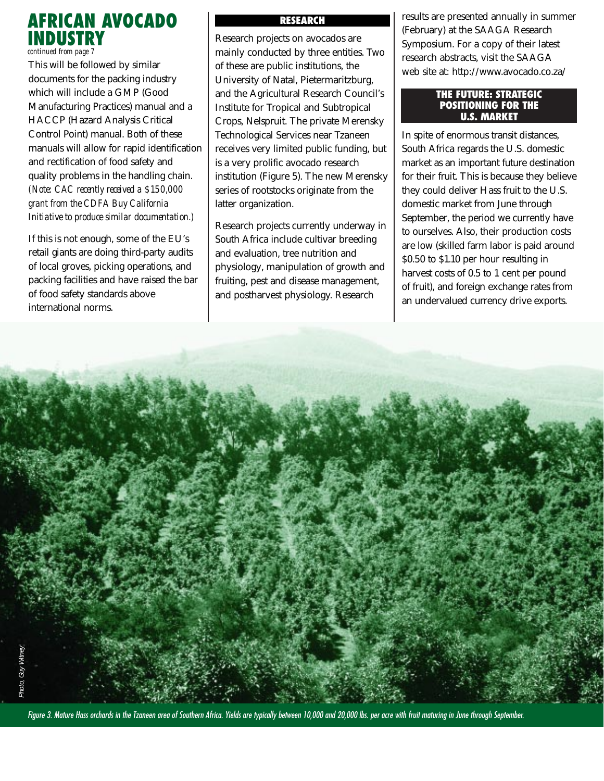## **AFRICAN AVOCADO INDUSTRY**

*continued from page 7*

This will be followed by similar documents for the packing industry which will include a GMP (Good Manufacturing Practices) manual and a HACCP (Hazard Analysis Critical Control Point) manual. Both of these manuals will allow for rapid identification and rectification of food safety and quality problems in the handling chain. *(Note: CAC recently received a \$150,000 grant from the CDFA Buy California Initiative to produce similar documentation.)*

If this is not enough, some of the EU's retail giants are doing third-party audits of local groves, picking operations, and packing facilities and have raised the bar of food safety standards above international norms.

#### **RESEARCH**

Research projects on avocados are mainly conducted by three entities. Two of these are public institutions, the University of Natal, Pietermaritzburg, and the Agricultural Research Council's Institute for Tropical and Subtropical Crops, Nelspruit. The private Merensky Technological Services near Tzaneen receives very limited public funding, but is a very prolific avocado research institution (Figure 5). The new Merensky series of rootstocks originate from the latter organization.

Research projects currently underway in South Africa include cultivar breeding and evaluation, tree nutrition and physiology, manipulation of growth and fruiting, pest and disease management, and postharvest physiology. Research

results are presented annually in summer (February) at the SAAGA Research Symposium. For a copy of their latest research abstracts, visit the SAAGA web site at: http://www.avocado.co.za/

#### **THE FUTURE: STRATEGIC POSITIONING FOR THE U.S. MARKET**

In spite of enormous transit distances, South Africa regards the U.S. domestic market as an important future destination for their fruit. This is because they believe they could deliver Hass fruit to the U.S. domestic market from June through September, the period we currently have to ourselves. Also, their production costs are low (skilled farm labor is paid around \$0.50 to \$1.10 per hour resulting in harvest costs of 0.5 to 1 cent per pound of fruit), and foreign exchange rates from an undervalued currency drive exports.



*Figure 3. Mature Hass orchards in the Tzaneen area of Southern Africa. Yields are typically between 10,000 and 20,000 lbs. per acre with fruit maturing in June through September.*